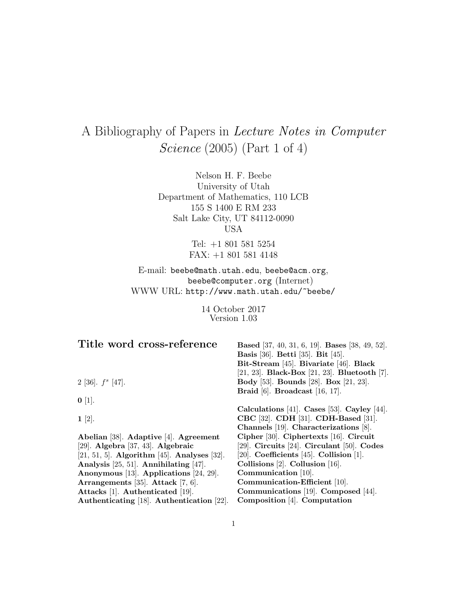# A Bibliography of Papers in Lecture Notes in Computer Science (2005) (Part 1 of 4)

Nelson H. F. Beebe University of Utah Department of Mathematics, 110 LCB 155 S 1400 E RM 233 Salt Lake City, UT 84112-0090 USA

> Tel: +1 801 581 5254 FAX: +1 801 581 4148

E-mail: beebe@math.utah.edu, beebe@acm.org, beebe@computer.org (Internet) WWW URL: http://www.math.utah.edu/~beebe/

> 14 October 2017 Version 1.03

| Title word cross-reference                  | <b>Based</b> [37, 40, 31, 6, 19]. <b>Bases</b> [38, 49, 52]. |
|---------------------------------------------|--------------------------------------------------------------|
|                                             | <b>Basis</b> [36]. <b>Betti</b> [35]. <b>Bit</b> [45].       |
|                                             | Bit-Stream [45]. Bivariate [46]. Black                       |
|                                             | [21, 23]. Black-Box [21, 23]. Bluetooth [7].                 |
| 2 [36]. $f^s$ [47].                         | <b>Body</b> [53]. <b>Bounds</b> [28]. <b>Box</b> [21, 23].   |
|                                             | Braid [6]. Broadcast $[16, 17]$ .                            |
| $0$ [1].                                    |                                                              |
|                                             | Calculations [41]. Cases [53]. Cayley [44].                  |
| $1 \; [2]$ .                                | CBC [32]. CDH [31]. CDH-Based [31].                          |
|                                             | Channels [19]. Characterizations [8].                        |
| Abelian [38]. Adaptive [4]. Agreement       | Cipher [30]. Ciphertexts [16]. Circuit                       |
| [29]. Algebra [37, 43]. Algebraic           | [29]. Circuits [24]. Circulant [50]. Codes                   |
| [21, 51, 5]. Algorithm [45]. Analyses [32]. | [20]. Coefficients [45]. Collision [1].                      |
| Analysis $[25, 51]$ . Annihilating $[47]$ . | Collisions $[2]$ . Collusion $[16]$ .                        |
| Anonymous [13]. Applications [24, 29].      | Communication [10].                                          |
| Arrangements [35]. Attack [7, 6].           | Communication-Efficient [10].                                |
| Attacks [1]. Authenticated [19].            | Communications [19]. Composed [44].                          |
| Authenticating [18]. Authentication [22].   | Composition [4]. Computation                                 |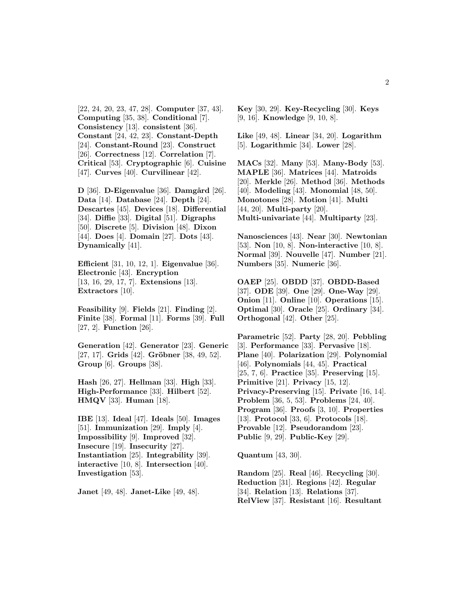[22, 24, 20, 23, 47, 28]. **Computer** [37, 43]. **Computing** [35, 38]. **Conditional** [7]. **Consistency** [13]. **consistent** [36]. **Constant** [24, 42, 23]. **Constant-Depth** [24]. **Constant-Round** [23]. **Construct** [26]. **Correctness** [12]. **Correlation** [7]. **Critical** [53]. **Cryptographic** [6]. **Cuisine** [47]. **Curves** [40]. **Curvilinear** [42].

 $\mathbf{D}$  [36].  $\mathbf{D}$ -Eigenvalue [36].  $\mathbf{D}$  amgård [26]. **Data** [14]. **Database** [24]. **Depth** [24]. **Descartes** [45]. **Devices** [18]. **Differential** [34]. **Diffie** [33]. **Digital** [51]. **Digraphs** [50]. **Discrete** [5]. **Division** [48]. **Dixon** [44]. **Does** [4]. **Domain** [27]. **Dots** [43]. **Dynamically** [41].

**Efficient** [31, 10, 12, 1]. **Eigenvalue** [36]. **Electronic** [43]. **Encryption** [13, 16, 29, 17, 7]. **Extensions** [13]. **Extractors** [10].

**Feasibility** [9]. **Fields** [21]. **Finding** [2]. **Finite** [38]. **Formal** [11]. **Forms** [39]. **Full** [27, 2]. **Function** [26].

**Generation** [42]. **Generator** [23]. **Generic** [27, 17]. **Grids** [42]. **Gröbner** [38, 49, 52]. **Group** [6]. **Groups** [38].

**Hash** [26, 27]. **Hellman** [33]. **High** [33]. **High-Performance** [33]. **Hilbert** [52]. **HMQV** [33]. **Human** [18].

**IBE** [13]. **Ideal** [47]. **Ideals** [50]. **Images** [51]. **Immunization** [29]. **Imply** [4]. **Impossibility** [9]. **Improved** [32]. **Insecure** [19]. **Insecurity** [27]. **Instantiation** [25]. **Integrability** [39]. **interactive** [10, 8]. **Intersection** [40]. **Investigation** [53].

**Janet** [49, 48]. **Janet-Like** [49, 48].

**Key** [30, 29]. **Key-Recycling** [30]. **Keys** [9, 16]. **Knowledge** [9, 10, 8].

**Like** [49, 48]. **Linear** [34, 20]. **Logarithm** [5]. **Logarithmic** [34]. **Lower** [28].

**MACs** [32]. **Many** [53]. **Many-Body** [53]. **MAPLE** [36]. **Matrices** [44]. **Matroids** [20]. **Merkle** [26]. **Method** [36]. **Methods** [40]. **Modeling** [43]. **Monomial** [48, 50]. **Monotones** [28]. **Motion** [41]. **Multi** [44, 20]. **Multi-party** [20]. **Multi-univariate** [44]. **Multiparty** [23].

**Nanosciences** [43]. **Near** [30]. **Newtonian** [53]. **Non** [10, 8]. **Non-interactive** [10, 8]. **Normal** [39]. **Nouvelle** [47]. **Number** [21]. **Numbers** [35]. **Numeric** [36].

**OAEP** [25]. **OBDD** [37]. **OBDD-Based** [37]. **ODE** [39]. **One** [29]. **One-Way** [29]. **Onion** [11]. **Online** [10]. **Operations** [15]. **Optimal** [30]. **Oracle** [25]. **Ordinary** [34]. **Orthogonal** [42]. **Other** [25].

**Parametric** [52]. **Party** [28, 20]. **Pebbling** [3]. **Performance** [33]. **Pervasive** [18]. **Plane** [40]. **Polarization** [29]. **Polynomial** [46]. **Polynomials** [44, 45]. **Practical** [25, 7, 6]. **Practice** [35]. **Preserving** [15]. **Primitive** [21]. **Privacy** [15, 12]. **Privacy-Preserving** [15]. **Private** [16, 14]. **Problem** [36, 5, 53]. **Problems** [24, 40]. **Program** [36]. **Proofs** [3, 10]. **Properties** [13]. **Protocol** [33, 6]. **Protocols** [18]. **Provable** [12]. **Pseudorandom** [23]. **Public** [9, 29]. **Public-Key** [29].

**Quantum** [43, 30].

**Random** [25]. **Real** [46]. **Recycling** [30]. **Reduction** [31]. **Regions** [42]. **Regular** [34]. **Relation** [13]. **Relations** [37]. **RelView** [37]. **Resistant** [16]. **Resultant**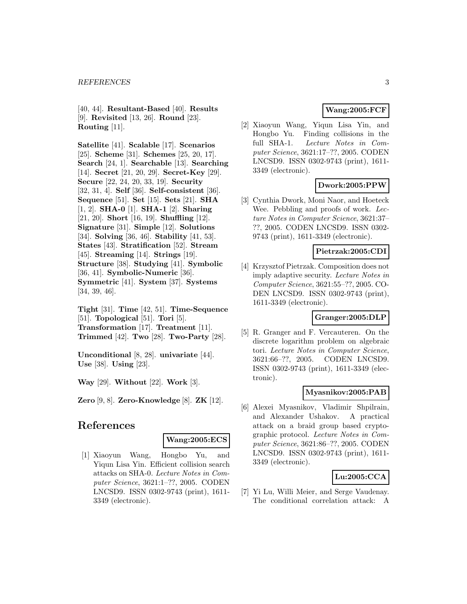#### *REFERENCES* 3

[40, 44]. **Resultant-Based** [40]. **Results** [9]. **Revisited** [13, 26]. **Round** [23]. **Routing** [11].

**Satellite** [41]. **Scalable** [17]. **Scenarios** [25]. **Scheme** [31]. **Schemes** [25, 20, 17]. **Search** [24, 1]. **Searchable** [13]. **Searching** [14]. **Secret** [21, 20, 29]. **Secret-Key** [29]. **Secure** [22, 24, 20, 33, 19]. **Security** [32, 31, 4]. **Self** [36]. **Self-consistent** [36]. **Sequence** [51]. **Set** [15]. **Sets** [21]. **SHA** [1, 2]. **SHA-0** [1]. **SHA-1** [2]. **Sharing** [21, 20]. **Short** [16, 19]. **Shuffling** [12]. **Signature** [31]. **Simple** [12]. **Solutions** [34]. **Solving** [36, 46]. **Stability** [41, 53]. **States** [43]. **Stratification** [52]. **Stream** [45]. **Streaming** [14]. **Strings** [19]. **Structure** [38]. **Studying** [41]. **Symbolic** [36, 41]. **Symbolic-Numeric** [36]. **Symmetric** [41]. **System** [37]. **Systems** [34, 39, 46].

**Tight** [31]. **Time** [42, 51]. **Time-Sequence** [51]. **Topological** [51]. **Tori** [5]. **Transformation** [17]. **Treatment** [11]. **Trimmed** [42]. **Two** [28]. **Two-Party** [28].

**Unconditional** [8, 28]. **univariate** [44]. **Use** [38]. **Using** [23].

**Way** [29]. **Without** [22]. **Work** [3].

**Zero** [9, 8]. **Zero-Knowledge** [8]. **ZK** [12].

# **References**

# **Wang:2005:ECS**

[1] Xiaoyun Wang, Hongbo Yu, and Yiqun Lisa Yin. Efficient collision search attacks on SHA-0. Lecture Notes in Computer Science, 3621:1–??, 2005. CODEN LNCSD9. ISSN 0302-9743 (print), 1611- 3349 (electronic).

# **Wang:2005:FCF**

[2] Xiaoyun Wang, Yiqun Lisa Yin, and Hongbo Yu. Finding collisions in the full SHA-1. Lecture Notes in Computer Science, 3621:17–??, 2005. CODEN LNCSD9. ISSN 0302-9743 (print), 1611- 3349 (electronic).

## **Dwork:2005:PPW**

[3] Cynthia Dwork, Moni Naor, and Hoeteck Wee. Pebbling and proofs of work. Lecture Notes in Computer Science, 3621:37– ??, 2005. CODEN LNCSD9. ISSN 0302- 9743 (print), 1611-3349 (electronic).

# **Pietrzak:2005:CDI**

[4] Krzysztof Pietrzak. Composition does not imply adaptive security. Lecture Notes in Computer Science, 3621:55–??, 2005. CO-DEN LNCSD9. ISSN 0302-9743 (print), 1611-3349 (electronic).

# **Granger:2005:DLP**

[5] R. Granger and F. Vercauteren. On the discrete logarithm problem on algebraic tori. Lecture Notes in Computer Science, 3621:66–??, 2005. CODEN LNCSD9. ISSN 0302-9743 (print), 1611-3349 (electronic).

#### **Myasnikov:2005:PAB**

[6] Alexei Myasnikov, Vladimir Shpilrain, and Alexander Ushakov. A practical attack on a braid group based cryptographic protocol. Lecture Notes in Computer Science, 3621:86–??, 2005. CODEN LNCSD9. ISSN 0302-9743 (print), 1611- 3349 (electronic).

#### **Lu:2005:CCA**

[7] Yi Lu, Willi Meier, and Serge Vaudenay. The conditional correlation attack: A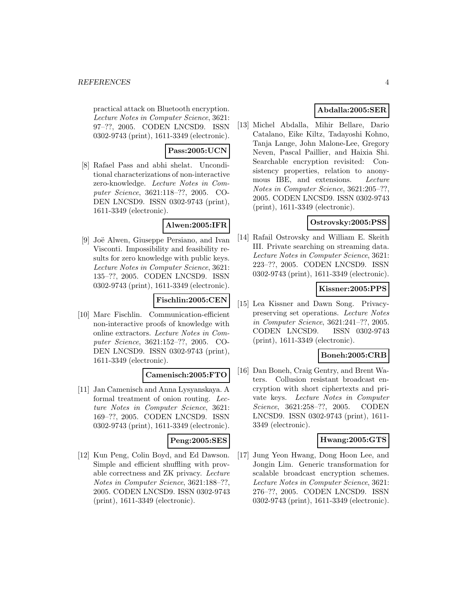practical attack on Bluetooth encryption. Lecture Notes in Computer Science, 3621: 97–??, 2005. CODEN LNCSD9. ISSN 0302-9743 (print), 1611-3349 (electronic).

# **Pass:2005:UCN**

[8] Rafael Pass and abhi shelat. Unconditional characterizations of non-interactive zero-knowledge. Lecture Notes in Computer Science, 3621:118–??, 2005. CO-DEN LNCSD9. ISSN 0302-9743 (print), 1611-3349 (electronic).

# **Alwen:2005:IFR**

[9] Joë Alwen, Giuseppe Persiano, and Ivan Visconti. Impossibility and feasibility results for zero knowledge with public keys. Lecture Notes in Computer Science, 3621: 135–??, 2005. CODEN LNCSD9. ISSN 0302-9743 (print), 1611-3349 (electronic).

# **Fischlin:2005:CEN**

[10] Marc Fischlin. Communication-efficient non-interactive proofs of knowledge with online extractors. Lecture Notes in Computer Science, 3621:152–??, 2005. CO-DEN LNCSD9. ISSN 0302-9743 (print), 1611-3349 (electronic).

# **Camenisch:2005:FTO**

[11] Jan Camenisch and Anna Lysyanskaya. A formal treatment of onion routing. Lecture Notes in Computer Science, 3621: 169–??, 2005. CODEN LNCSD9. ISSN 0302-9743 (print), 1611-3349 (electronic).

## **Peng:2005:SES**

[12] Kun Peng, Colin Boyd, and Ed Dawson. Simple and efficient shuffling with provable correctness and ZK privacy. Lecture Notes in Computer Science, 3621:188–??, 2005. CODEN LNCSD9. ISSN 0302-9743 (print), 1611-3349 (electronic).

# **Abdalla:2005:SER**

[13] Michel Abdalla, Mihir Bellare, Dario Catalano, Eike Kiltz, Tadayoshi Kohno, Tanja Lange, John Malone-Lee, Gregory Neven, Pascal Paillier, and Haixia Shi. Searchable encryption revisited: Consistency properties, relation to anonymous IBE, and extensions. Lecture Notes in Computer Science, 3621:205–??, 2005. CODEN LNCSD9. ISSN 0302-9743 (print), 1611-3349 (electronic).

# **Ostrovsky:2005:PSS**

[14] Rafail Ostrovsky and William E. Skeith III. Private searching on streaming data. Lecture Notes in Computer Science, 3621: 223–??, 2005. CODEN LNCSD9. ISSN 0302-9743 (print), 1611-3349 (electronic).

# **Kissner:2005:PPS**

[15] Lea Kissner and Dawn Song. Privacypreserving set operations. Lecture Notes in Computer Science, 3621:241–??, 2005. CODEN LNCSD9. ISSN 0302-9743 (print), 1611-3349 (electronic).

# **Boneh:2005:CRB**

[16] Dan Boneh, Craig Gentry, and Brent Waters. Collusion resistant broadcast encryption with short ciphertexts and private keys. Lecture Notes in Computer Science, 3621:258–??, 2005. CODEN LNCSD9. ISSN 0302-9743 (print), 1611- 3349 (electronic).

# **Hwang:2005:GTS**

[17] Jung Yeon Hwang, Dong Hoon Lee, and Jongin Lim. Generic transformation for scalable broadcast encryption schemes. Lecture Notes in Computer Science, 3621: 276–??, 2005. CODEN LNCSD9. ISSN 0302-9743 (print), 1611-3349 (electronic).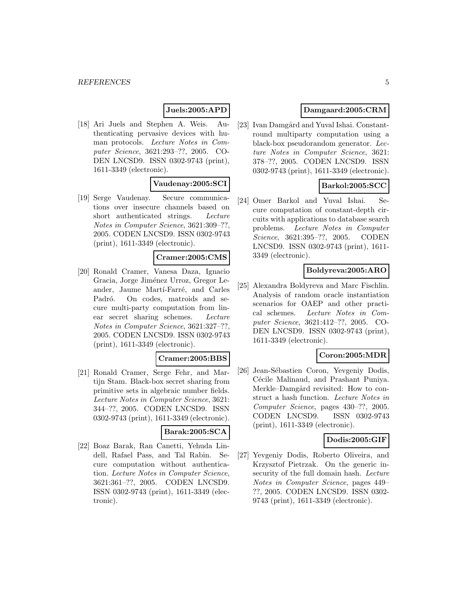# **Juels:2005:APD**

[18] Ari Juels and Stephen A. Weis. Authenticating pervasive devices with human protocols. Lecture Notes in Computer Science, 3621:293–??, 2005. CO-DEN LNCSD9. ISSN 0302-9743 (print), 1611-3349 (electronic).

# **Vaudenay:2005:SCI**

[19] Serge Vaudenay. Secure communications over insecure channels based on short authenticated strings. Lecture Notes in Computer Science, 3621:309–??, 2005. CODEN LNCSD9. ISSN 0302-9743 (print), 1611-3349 (electronic).

#### **Cramer:2005:CMS**

[20] Ronald Cramer, Vanesa Daza, Ignacio Gracia, Jorge Jiménez Urroz, Gregor Leander, Jaume Martí-Farré, and Carles Padró. On codes, matroids and secure multi-party computation from linear secret sharing schemes. Lecture Notes in Computer Science, 3621:327–??, 2005. CODEN LNCSD9. ISSN 0302-9743 (print), 1611-3349 (electronic).

#### **Cramer:2005:BBS**

[21] Ronald Cramer, Serge Fehr, and Martijn Stam. Black-box secret sharing from primitive sets in algebraic number fields. Lecture Notes in Computer Science, 3621: 344–??, 2005. CODEN LNCSD9. ISSN 0302-9743 (print), 1611-3349 (electronic).

#### **Barak:2005:SCA**

[22] Boaz Barak, Ran Canetti, Yehuda Lindell, Rafael Pass, and Tal Rabin. Secure computation without authentication. Lecture Notes in Computer Science, 3621:361–??, 2005. CODEN LNCSD9. ISSN 0302-9743 (print), 1611-3349 (electronic).

#### **Damgaard:2005:CRM**

[23] Ivan Damgård and Yuval Ishai. Constantround multiparty computation using a black-box pseudorandom generator. Lecture Notes in Computer Science, 3621: 378–??, 2005. CODEN LNCSD9. ISSN 0302-9743 (print), 1611-3349 (electronic).

## **Barkol:2005:SCC**

[24] Omer Barkol and Yuval Ishai. Secure computation of constant-depth circuits with applications to database search problems. Lecture Notes in Computer Science, 3621:395–??, 2005. CODEN LNCSD9. ISSN 0302-9743 (print), 1611- 3349 (electronic).

#### **Boldyreva:2005:ARO**

[25] Alexandra Boldyreva and Marc Fischlin. Analysis of random oracle instantiation scenarios for OAEP and other practical schemes. Lecture Notes in Computer Science, 3621:412–??, 2005. CO-DEN LNCSD9. ISSN 0302-9743 (print), 1611-3349 (electronic).

#### **Coron:2005:MDR**

[26] Jean-Sébastien Coron, Yevgeniy Dodis, Cécile Malinaud, and Prashant Puniya. Merkle–Damgård revisited: How to construct a hash function. Lecture Notes in Computer Science, pages 430–??, 2005. CODEN LNCSD9. ISSN 0302-9743 (print), 1611-3349 (electronic).

# **Dodis:2005:GIF**

[27] Yevgeniy Dodis, Roberto Oliveira, and Krzysztof Pietrzak. On the generic insecurity of the full domain hash. Lecture Notes in Computer Science, pages 449– ??, 2005. CODEN LNCSD9. ISSN 0302- 9743 (print), 1611-3349 (electronic).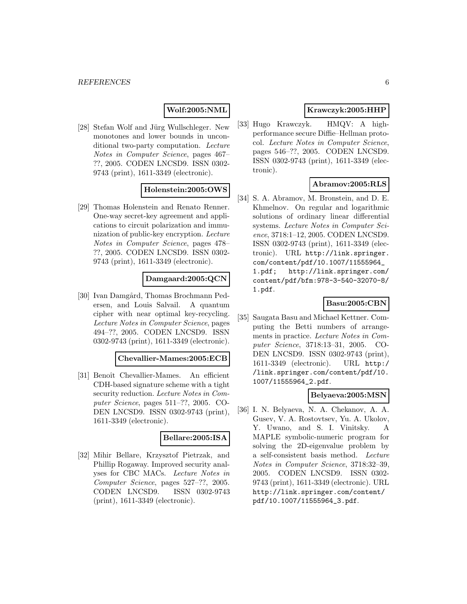#### **Wolf:2005:NML**

[28] Stefan Wolf and Jürg Wullschleger. New monotones and lower bounds in unconditional two-party computation. Lecture Notes in Computer Science, pages 467– ??, 2005. CODEN LNCSD9. ISSN 0302- 9743 (print), 1611-3349 (electronic).

## **Holenstein:2005:OWS**

[29] Thomas Holenstein and Renato Renner. One-way secret-key agreement and applications to circuit polarization and immunization of public-key encryption. Lecture Notes in Computer Science, pages 478– ??, 2005. CODEN LNCSD9. ISSN 0302- 9743 (print), 1611-3349 (electronic).

# **Damgaard:2005:QCN**

[30] Ivan Damgård, Thomas Brochmann Pedersen, and Louis Salvail. A quantum cipher with near optimal key-recycling. Lecture Notes in Computer Science, pages 494–??, 2005. CODEN LNCSD9. ISSN 0302-9743 (print), 1611-3349 (electronic).

#### **Chevallier-Mames:2005:ECB**

[31] Benoît Chevallier-Mames. An efficient CDH-based signature scheme with a tight security reduction. Lecture Notes in Computer Science, pages 511–??, 2005. CO-DEN LNCSD9. ISSN 0302-9743 (print), 1611-3349 (electronic).

#### **Bellare:2005:ISA**

[32] Mihir Bellare, Krzysztof Pietrzak, and Phillip Rogaway. Improved security analyses for CBC MACs. Lecture Notes in Computer Science, pages 527–??, 2005. CODEN LNCSD9. ISSN 0302-9743 (print), 1611-3349 (electronic).

# **Krawczyk:2005:HHP**

[33] Hugo Krawczyk. HMQV: A highperformance secure Diffie–Hellman protocol. Lecture Notes in Computer Science, pages 546–??, 2005. CODEN LNCSD9. ISSN 0302-9743 (print), 1611-3349 (electronic).

# **Abramov:2005:RLS**

[34] S. A. Abramov, M. Bronstein, and D. E. Khmelnov. On regular and logarithmic solutions of ordinary linear differential systems. Lecture Notes in Computer Science, 3718:1–12, 2005. CODEN LNCSD9. ISSN 0302-9743 (print), 1611-3349 (electronic). URL http://link.springer. com/content/pdf/10.1007/11555964\_ 1.pdf; http://link.springer.com/ content/pdf/bfm:978-3-540-32070-8/ 1.pdf.

# **Basu:2005:CBN**

[35] Saugata Basu and Michael Kettner. Computing the Betti numbers of arrangements in practice. Lecture Notes in Computer Science, 3718:13–31, 2005. CO-DEN LNCSD9. ISSN 0302-9743 (print), 1611-3349 (electronic). URL http:/ /link.springer.com/content/pdf/10. 1007/11555964\_2.pdf.

#### **Belyaeva:2005:MSN**

[36] I. N. Belyaeva, N. A. Chekanov, A. A. Gusev, V. A. Rostovtsev, Yu. A. Ukolov, Y. Uwano, and S. I. Vinitsky. A MAPLE symbolic-numeric program for solving the 2D-eigenvalue problem by a self-consistent basis method. Lecture Notes in Computer Science, 3718:32–39, 2005. CODEN LNCSD9. ISSN 0302- 9743 (print), 1611-3349 (electronic). URL http://link.springer.com/content/ pdf/10.1007/11555964\_3.pdf.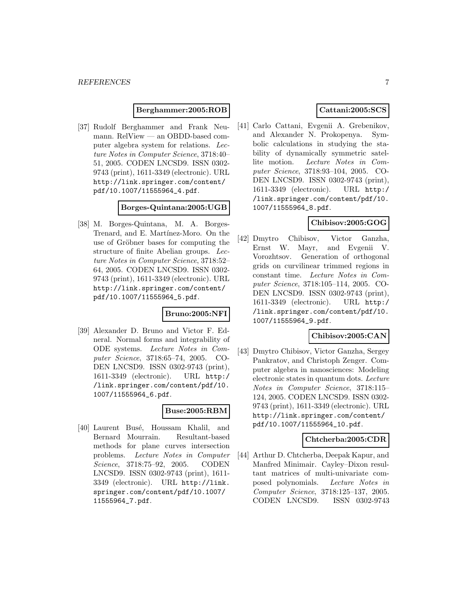#### **Berghammer:2005:ROB**

[37] Rudolf Berghammer and Frank Neumann. RelView — an OBDD-based computer algebra system for relations. Lecture Notes in Computer Science, 3718:40– 51, 2005. CODEN LNCSD9. ISSN 0302- 9743 (print), 1611-3349 (electronic). URL http://link.springer.com/content/ pdf/10.1007/11555964\_4.pdf.

#### **Borges-Quintana:2005:UGB**

[38] M. Borges-Quintana, M. A. Borges-Trenard, and E. Martínez-Moro. On the use of Gröbner bases for computing the structure of finite Abelian groups. Lecture Notes in Computer Science, 3718:52– 64, 2005. CODEN LNCSD9. ISSN 0302- 9743 (print), 1611-3349 (electronic). URL http://link.springer.com/content/ pdf/10.1007/11555964\_5.pdf.

#### **Bruno:2005:NFI**

[39] Alexander D. Bruno and Victor F. Edneral. Normal forms and integrability of ODE systems. Lecture Notes in Computer Science, 3718:65–74, 2005. CO-DEN LNCSD9. ISSN 0302-9743 (print), 1611-3349 (electronic). URL http:/ /link.springer.com/content/pdf/10. 1007/11555964\_6.pdf.

#### **Buse:2005:RBM**

[40] Laurent Busé, Houssam Khalil, and Bernard Mourrain. Resultant-based methods for plane curves intersection problems. Lecture Notes in Computer Science, 3718:75–92, 2005. CODEN LNCSD9. ISSN 0302-9743 (print), 1611- 3349 (electronic). URL http://link. springer.com/content/pdf/10.1007/ 11555964\_7.pdf.

# **Cattani:2005:SCS**

[41] Carlo Cattani, Evgenii A. Grebenikov, and Alexander N. Prokopenya. Symbolic calculations in studying the stability of dynamically symmetric satellite motion. Lecture Notes in Computer Science, 3718:93–104, 2005. CO-DEN LNCSD9. ISSN 0302-9743 (print), 1611-3349 (electronic). URL http:/ /link.springer.com/content/pdf/10. 1007/11555964\_8.pdf.

## **Chibisov:2005:GOG**

[42] Dmytro Chibisov, Victor Ganzha, Ernst W. Mayr, and Evgenii V. Vorozhtsov. Generation of orthogonal grids on curvilinear trimmed regions in constant time. Lecture Notes in Computer Science, 3718:105–114, 2005. CO-DEN LNCSD9. ISSN 0302-9743 (print), 1611-3349 (electronic). URL http:/ /link.springer.com/content/pdf/10. 1007/11555964\_9.pdf.

## **Chibisov:2005:CAN**

[43] Dmytro Chibisov, Victor Ganzha, Sergey Pankratov, and Christoph Zenger. Computer algebra in nanosciences: Modeling electronic states in quantum dots. Lecture Notes in Computer Science, 3718:115– 124, 2005. CODEN LNCSD9. ISSN 0302- 9743 (print), 1611-3349 (electronic). URL http://link.springer.com/content/ pdf/10.1007/11555964\_10.pdf.

#### **Chtcherba:2005:CDR**

[44] Arthur D. Chtcherba, Deepak Kapur, and Manfred Minimair. Cayley–Dixon resultant matrices of multi-univariate composed polynomials. Lecture Notes in Computer Science, 3718:125–137, 2005. CODEN LNCSD9. ISSN 0302-9743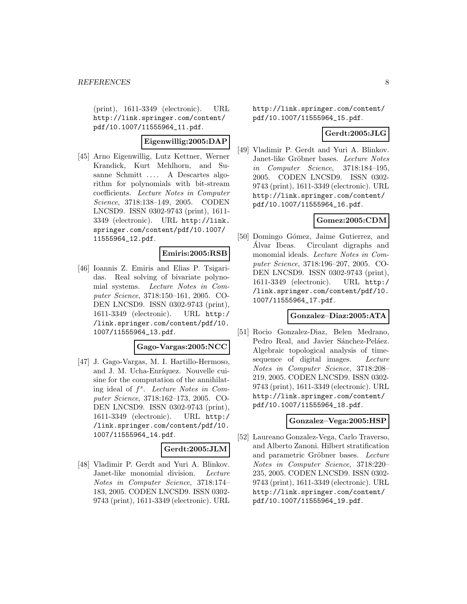(print), 1611-3349 (electronic). URL http://link.springer.com/content/ pdf/10.1007/11555964\_11.pdf.

# **Eigenwillig:2005:DAP**

[45] Arno Eigenwillig, Lutz Kettner, Werner Krandick, Kurt Mehlhorn, and Susanne Schmitt .... A Descartes algorithm for polynomials with bit-stream coefficients. Lecture Notes in Computer Science, 3718:138–149, 2005. CODEN LNCSD9. ISSN 0302-9743 (print), 1611- 3349 (electronic). URL http://link. springer.com/content/pdf/10.1007/ 11555964\_12.pdf.

## **Emiris:2005:RSB**

[46] Ioannis Z. Emiris and Elias P. Tsigaridas. Real solving of bivariate polynomial systems. Lecture Notes in Computer Science, 3718:150–161, 2005. CO-DEN LNCSD9. ISSN 0302-9743 (print), 1611-3349 (electronic). URL http:/ /link.springer.com/content/pdf/10. 1007/11555964\_13.pdf.

#### **Gago-Vargas:2005:NCC**

[47] J. Gago-Vargas, M. I. Hartillo-Hermoso, and J. M. Ucha-Enríquez. Nouvelle cuisine for the computation of the annihilating ideal of  $f^s$ . Lecture Notes in Computer Science, 3718:162–173, 2005. CO-DEN LNCSD9. ISSN 0302-9743 (print), 1611-3349 (electronic). URL http:/ /link.springer.com/content/pdf/10. 1007/11555964\_14.pdf.

#### **Gerdt:2005:JLM**

[48] Vladimir P. Gerdt and Yuri A. Blinkov. Janet-like monomial division. Lecture Notes in Computer Science, 3718:174– 183, 2005. CODEN LNCSD9. ISSN 0302- 9743 (print), 1611-3349 (electronic). URL

http://link.springer.com/content/ pdf/10.1007/11555964\_15.pdf.

# **Gerdt:2005:JLG**

[49] Vladimir P. Gerdt and Yuri A. Blinkov. Janet-like Gröbner bases. Lecture Notes in Computer Science, 3718:184–195, 2005. CODEN LNCSD9. ISSN 0302- 9743 (print), 1611-3349 (electronic). URL http://link.springer.com/content/ pdf/10.1007/11555964\_16.pdf.

## **Gomez:2005:CDM**

[50] Domingo Gómez, Jaime Gutierrez, and Alvar Ibeas. Circulant digraphs and ´ monomial ideals. Lecture Notes in Computer Science, 3718:196–207, 2005. CO-DEN LNCSD9. ISSN 0302-9743 (print), 1611-3349 (electronic). URL http:/ /link.springer.com/content/pdf/10. 1007/11555964\_17.pdf.

#### **Gonzalez–Diaz:2005:ATA**

[51] Rocio Gonzalez-Diaz, Belen Medrano, Pedro Real, and Javier Sánchez-Peláez. Algebraic topological analysis of timesequence of digital images. Lecture Notes in Computer Science, 3718:208– 219, 2005. CODEN LNCSD9. ISSN 0302- 9743 (print), 1611-3349 (electronic). URL http://link.springer.com/content/ pdf/10.1007/11555964\_18.pdf.

#### **Gonzalez–Vega:2005:HSP**

[52] Laureano Gonzalez-Vega, Carlo Traverso, and Alberto Zanoni. Hilbert stratification and parametric Gröbner bases. Lecture Notes in Computer Science, 3718:220– 235, 2005. CODEN LNCSD9. ISSN 0302- 9743 (print), 1611-3349 (electronic). URL http://link.springer.com/content/ pdf/10.1007/11555964\_19.pdf.